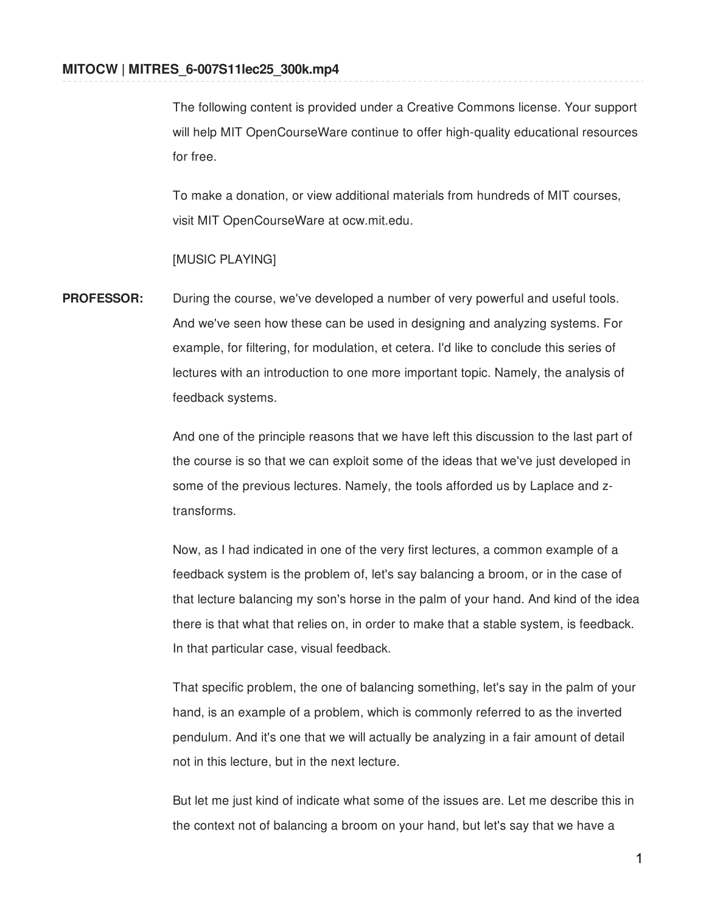The following content is provided under a Creative Commons license. Your support will help MIT OpenCourseWare continue to offer high-quality educational resources for free.

To make a donation, or view additional materials from hundreds of MIT courses, visit MIT OpenCourseWare at ocw.mit.edu.

## [MUSIC PLAYING]

**PROFESSOR:** During the course, we've developed a number of very powerful and useful tools. And we've seen how these can be used in designing and analyzing systems. For example, for filtering, for modulation, et cetera. I'd like to conclude this series of lectures with an introduction to one more important topic. Namely, the analysis of feedback systems.

> And one of the principle reasons that we have left this discussion to the last part of the course is so that we can exploit some of the ideas that we've just developed in some of the previous lectures. Namely, the tools afforded us by Laplace and ztransforms.

Now, as I had indicated in one of the very first lectures, a common example of a feedback system is the problem of, let's say balancing a broom, or in the case of that lecture balancing my son's horse in the palm of your hand. And kind of the idea there is that what that relies on, in order to make that a stable system, is feedback. In that particular case, visual feedback.

That specific problem, the one of balancing something, let's say in the palm of your hand, is an example of a problem, which is commonly referred to as the inverted pendulum. And it's one that we will actually be analyzing in a fair amount of detail not in this lecture, but in the next lecture.

But let me just kind of indicate what some of the issues are. Let me describe this in the context not of balancing a broom on your hand, but let's say that we have a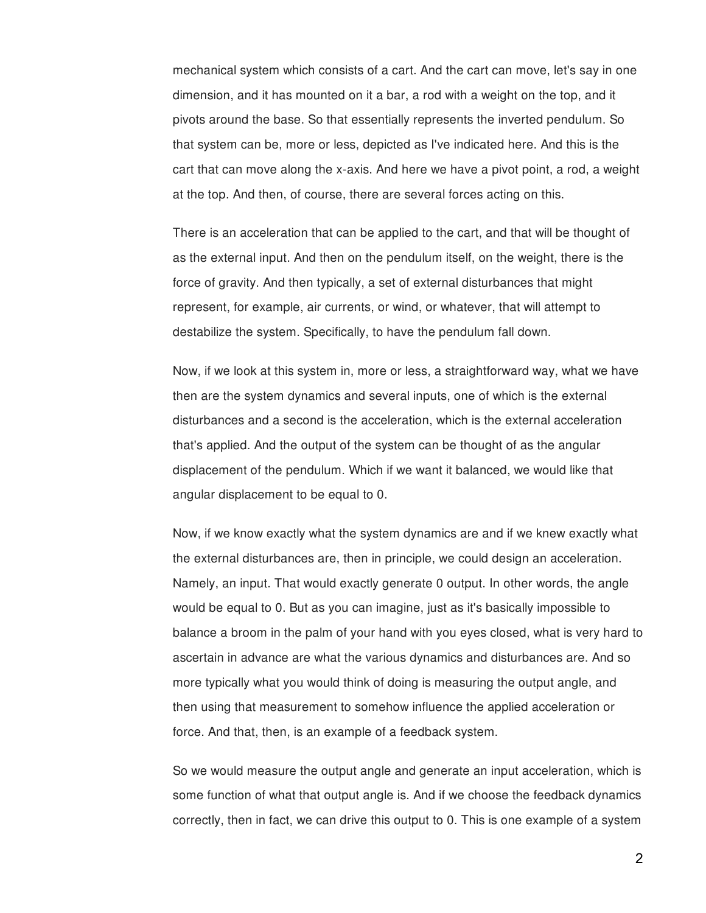mechanical system which consists of a cart. And the cart can move, let's say in one dimension, and it has mounted on it a bar, a rod with a weight on the top, and it pivots around the base. So that essentially represents the inverted pendulum. So that system can be, more or less, depicted as I've indicated here. And this is the cart that can move along the x-axis. And here we have a pivot point, a rod, a weight at the top. And then, of course, there are several forces acting on this.

There is an acceleration that can be applied to the cart, and that will be thought of as the external input. And then on the pendulum itself, on the weight, there is the force of gravity. And then typically, a set of external disturbances that might represent, for example, air currents, or wind, or whatever, that will attempt to destabilize the system. Specifically, to have the pendulum fall down.

Now, if we look at this system in, more or less, a straightforward way, what we have then are the system dynamics and several inputs, one of which is the external disturbances and a second is the acceleration, which is the external acceleration that's applied. And the output of the system can be thought of as the angular displacement of the pendulum. Which if we want it balanced, we would like that angular displacement to be equal to 0.

Now, if we know exactly what the system dynamics are and if we knew exactly what the external disturbances are, then in principle, we could design an acceleration. Namely, an input. That would exactly generate 0 output. In other words, the angle would be equal to 0. But as you can imagine, just as it's basically impossible to balance a broom in the palm of your hand with you eyes closed, what is very hard to ascertain in advance are what the various dynamics and disturbances are. And so more typically what you would think of doing is measuring the output angle, and then using that measurement to somehow influence the applied acceleration or force. And that, then, is an example of a feedback system.

So we would measure the output angle and generate an input acceleration, which is some function of what that output angle is. And if we choose the feedback dynamics correctly, then in fact, we can drive this output to 0. This is one example of a system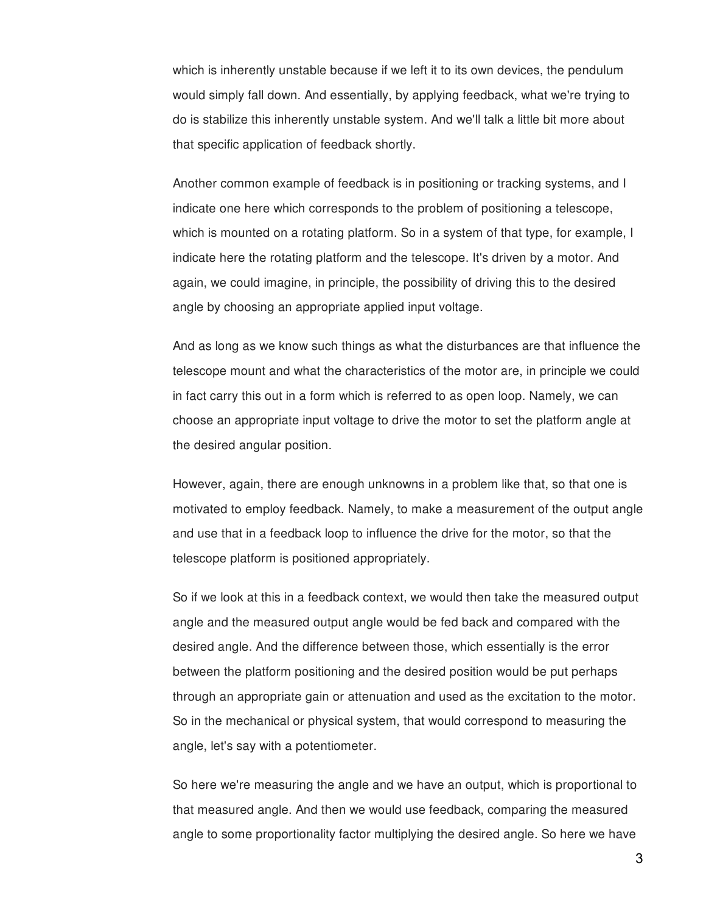which is inherently unstable because if we left it to its own devices, the pendulum would simply fall down. And essentially, by applying feedback, what we're trying to do is stabilize this inherently unstable system. And we'll talk a little bit more about that specific application of feedback shortly.

Another common example of feedback is in positioning or tracking systems, and I indicate one here which corresponds to the problem of positioning a telescope, which is mounted on a rotating platform. So in a system of that type, for example, I indicate here the rotating platform and the telescope. It's driven by a motor. And again, we could imagine, in principle, the possibility of driving this to the desired angle by choosing an appropriate applied input voltage.

And as long as we know such things as what the disturbances are that influence the telescope mount and what the characteristics of the motor are, in principle we could in fact carry this out in a form which is referred to as open loop. Namely, we can choose an appropriate input voltage to drive the motor to set the platform angle at the desired angular position.

However, again, there are enough unknowns in a problem like that, so that one is motivated to employ feedback. Namely, to make a measurement of the output angle and use that in a feedback loop to influence the drive for the motor, so that the telescope platform is positioned appropriately.

So if we look at this in a feedback context, we would then take the measured output angle and the measured output angle would be fed back and compared with the desired angle. And the difference between those, which essentially is the error between the platform positioning and the desired position would be put perhaps through an appropriate gain or attenuation and used as the excitation to the motor. So in the mechanical or physical system, that would correspond to measuring the angle, let's say with a potentiometer.

So here we're measuring the angle and we have an output, which is proportional to that measured angle. And then we would use feedback, comparing the measured angle to some proportionality factor multiplying the desired angle. So here we have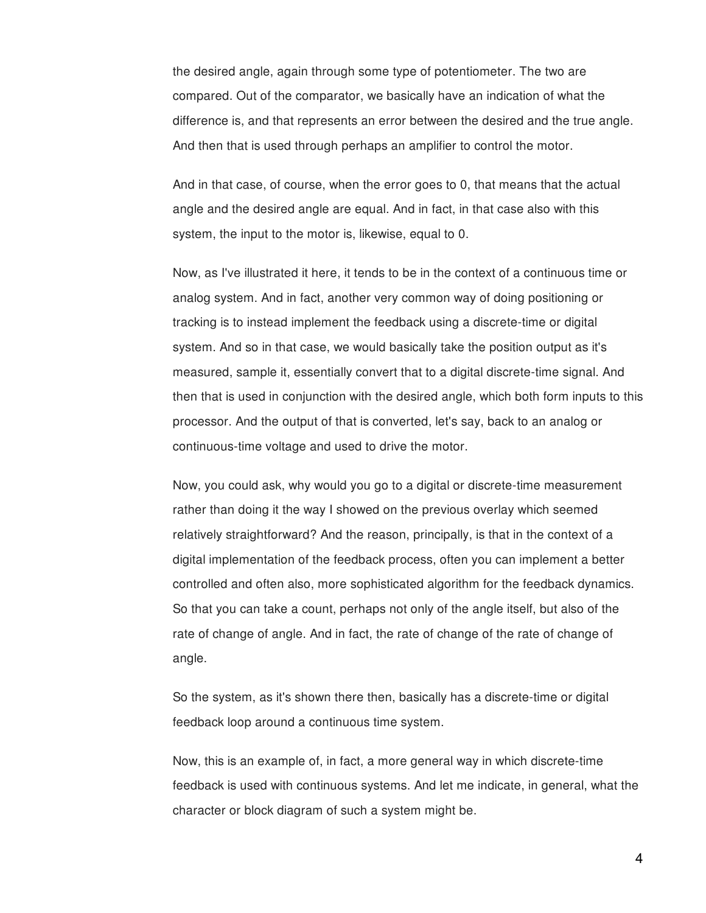the desired angle, again through some type of potentiometer. The two are compared. Out of the comparator, we basically have an indication of what the difference is, and that represents an error between the desired and the true angle. And then that is used through perhaps an amplifier to control the motor.

And in that case, of course, when the error goes to 0, that means that the actual angle and the desired angle are equal. And in fact, in that case also with this system, the input to the motor is, likewise, equal to 0.

Now, as I've illustrated it here, it tends to be in the context of a continuous time or analog system. And in fact, another very common way of doing positioning or tracking is to instead implement the feedback using a discrete-time or digital system. And so in that case, we would basically take the position output as it's measured, sample it, essentially convert that to a digital discrete-time signal. And then that is used in conjunction with the desired angle, which both form inputs to this processor. And the output of that is converted, let's say, back to an analog or continuous-time voltage and used to drive the motor.

Now, you could ask, why would you go to a digital or discrete-time measurement rather than doing it the way I showed on the previous overlay which seemed relatively straightforward? And the reason, principally, is that in the context of a digital implementation of the feedback process, often you can implement a better controlled and often also, more sophisticated algorithm for the feedback dynamics. So that you can take a count, perhaps not only of the angle itself, but also of the rate of change of angle. And in fact, the rate of change of the rate of change of angle.

So the system, as it's shown there then, basically has a discrete-time or digital feedback loop around a continuous time system.

Now, this is an example of, in fact, a more general way in which discrete-time feedback is used with continuous systems. And let me indicate, in general, what the character or block diagram of such a system might be.

4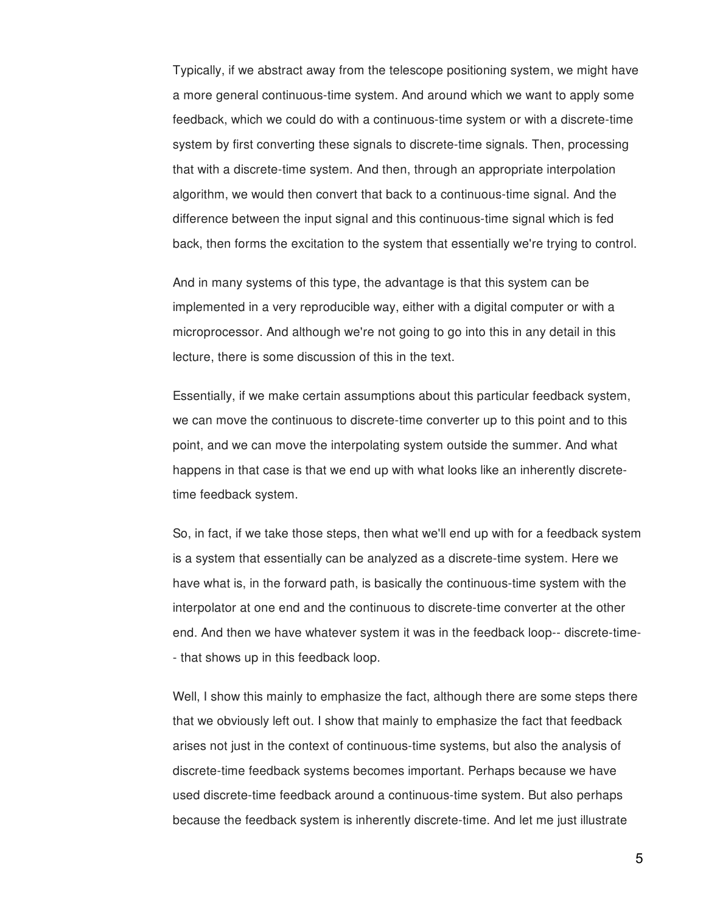Typically, if we abstract away from the telescope positioning system, we might have a more general continuous-time system. And around which we want to apply some feedback, which we could do with a continuous-time system or with a discrete-time system by first converting these signals to discrete-time signals. Then, processing that with a discrete-time system. And then, through an appropriate interpolation algorithm, we would then convert that back to a continuous-time signal. And the difference between the input signal and this continuous-time signal which is fed back, then forms the excitation to the system that essentially we're trying to control.

And in many systems of this type, the advantage is that this system can be implemented in a very reproducible way, either with a digital computer or with a microprocessor. And although we're not going to go into this in any detail in this lecture, there is some discussion of this in the text.

Essentially, if we make certain assumptions about this particular feedback system, we can move the continuous to discrete-time converter up to this point and to this point, and we can move the interpolating system outside the summer. And what happens in that case is that we end up with what looks like an inherently discretetime feedback system.

So, in fact, if we take those steps, then what we'll end up with for a feedback system is a system that essentially can be analyzed as a discrete-time system. Here we have what is, in the forward path, is basically the continuous-time system with the interpolator at one end and the continuous to discrete-time converter at the other end. And then we have whatever system it was in the feedback loop-- discrete-time- - that shows up in this feedback loop.

Well, I show this mainly to emphasize the fact, although there are some steps there that we obviously left out. I show that mainly to emphasize the fact that feedback arises not just in the context of continuous-time systems, but also the analysis of discrete-time feedback systems becomes important. Perhaps because we have used discrete-time feedback around a continuous-time system. But also perhaps because the feedback system is inherently discrete-time. And let me just illustrate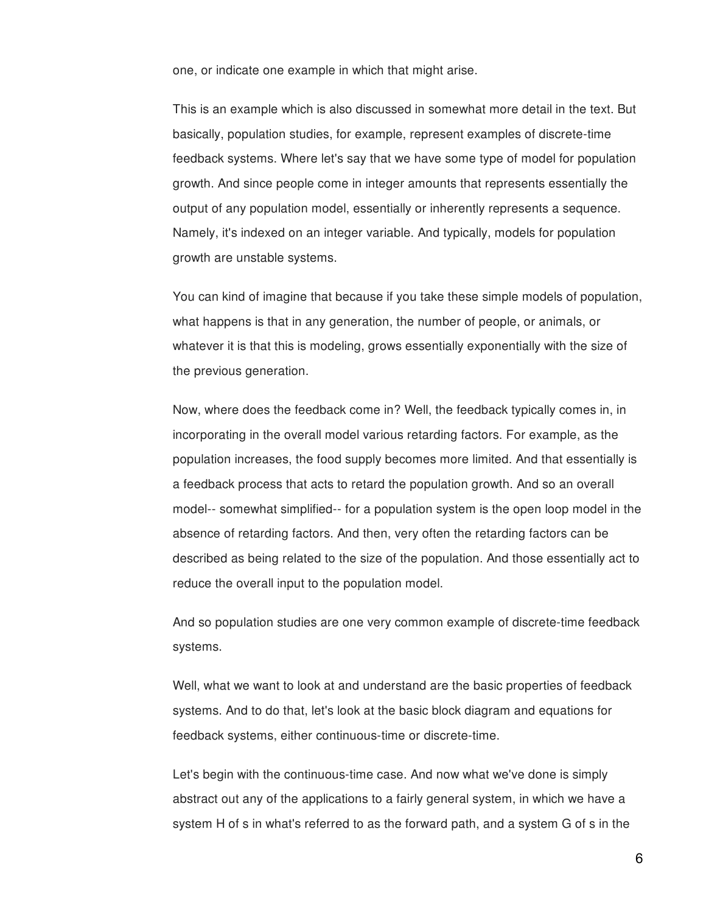one, or indicate one example in which that might arise.

This is an example which is also discussed in somewhat more detail in the text. But basically, population studies, for example, represent examples of discrete-time feedback systems. Where let's say that we have some type of model for population growth. And since people come in integer amounts that represents essentially the output of any population model, essentially or inherently represents a sequence. Namely, it's indexed on an integer variable. And typically, models for population growth are unstable systems.

You can kind of imagine that because if you take these simple models of population, what happens is that in any generation, the number of people, or animals, or whatever it is that this is modeling, grows essentially exponentially with the size of the previous generation.

Now, where does the feedback come in? Well, the feedback typically comes in, in incorporating in the overall model various retarding factors. For example, as the population increases, the food supply becomes more limited. And that essentially is a feedback process that acts to retard the population growth. And so an overall model-- somewhat simplified-- for a population system is the open loop model in the absence of retarding factors. And then, very often the retarding factors can be described as being related to the size of the population. And those essentially act to reduce the overall input to the population model.

And so population studies are one very common example of discrete-time feedback systems.

Well, what we want to look at and understand are the basic properties of feedback systems. And to do that, let's look at the basic block diagram and equations for feedback systems, either continuous-time or discrete-time.

Let's begin with the continuous-time case. And now what we've done is simply abstract out any of the applications to a fairly general system, in which we have a system H of s in what's referred to as the forward path, and a system G of s in the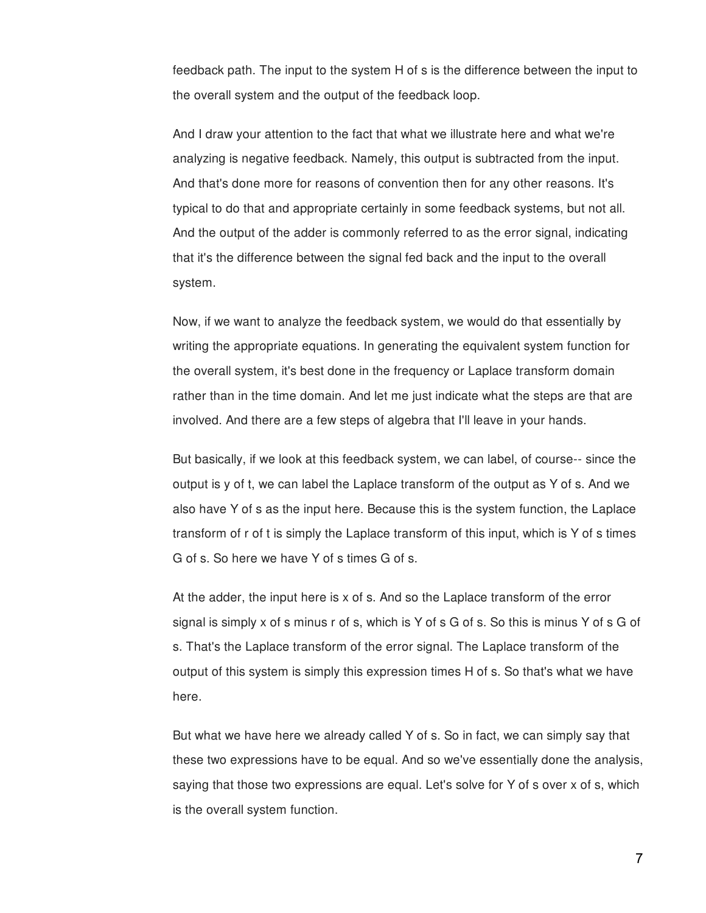feedback path. The input to the system H of s is the difference between the input to the overall system and the output of the feedback loop.

And I draw your attention to the fact that what we illustrate here and what we're analyzing is negative feedback. Namely, this output is subtracted from the input. And that's done more for reasons of convention then for any other reasons. It's typical to do that and appropriate certainly in some feedback systems, but not all. And the output of the adder is commonly referred to as the error signal, indicating that it's the difference between the signal fed back and the input to the overall system.

Now, if we want to analyze the feedback system, we would do that essentially by writing the appropriate equations. In generating the equivalent system function for the overall system, it's best done in the frequency or Laplace transform domain rather than in the time domain. And let me just indicate what the steps are that are involved. And there are a few steps of algebra that I'll leave in your hands.

But basically, if we look at this feedback system, we can label, of course-- since the output is y of t, we can label the Laplace transform of the output as Y of s. And we also have Y of s as the input here. Because this is the system function, the Laplace transform of r of t is simply the Laplace transform of this input, which is Y of s times G of s. So here we have Y of s times G of s.

At the adder, the input here is x of s. And so the Laplace transform of the error signal is simply x of s minus r of s, which is Y of s G of s. So this is minus Y of s G of s. That's the Laplace transform of the error signal. The Laplace transform of the output of this system is simply this expression times H of s. So that's what we have here.

But what we have here we already called Y of s. So in fact, we can simply say that these two expressions have to be equal. And so we've essentially done the analysis, saying that those two expressions are equal. Let's solve for Y of s over x of s, which is the overall system function.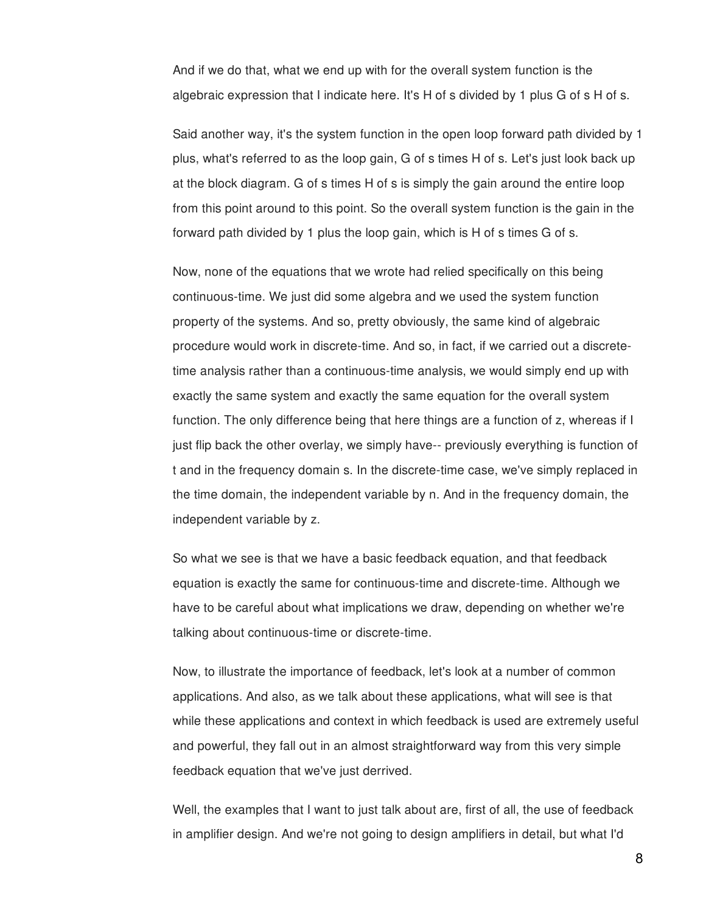And if we do that, what we end up with for the overall system function is the algebraic expression that I indicate here. It's H of s divided by 1 plus G of s H of s.

Said another way, it's the system function in the open loop forward path divided by 1 plus, what's referred to as the loop gain, G of s times H of s. Let's just look back up at the block diagram. G of s times H of s is simply the gain around the entire loop from this point around to this point. So the overall system function is the gain in the forward path divided by 1 plus the loop gain, which is H of s times G of s.

Now, none of the equations that we wrote had relied specifically on this being continuous-time. We just did some algebra and we used the system function property of the systems. And so, pretty obviously, the same kind of algebraic procedure would work in discrete-time. And so, in fact, if we carried out a discretetime analysis rather than a continuous-time analysis, we would simply end up with exactly the same system and exactly the same equation for the overall system function. The only difference being that here things are a function of z, whereas if I just flip back the other overlay, we simply have-- previously everything is function of t and in the frequency domain s. In the discrete-time case, we've simply replaced in the time domain, the independent variable by n. And in the frequency domain, the independent variable by z.

So what we see is that we have a basic feedback equation, and that feedback equation is exactly the same for continuous-time and discrete-time. Although we have to be careful about what implications we draw, depending on whether we're talking about continuous-time or discrete-time.

Now, to illustrate the importance of feedback, let's look at a number of common applications. And also, as we talk about these applications, what will see is that while these applications and context in which feedback is used are extremely useful and powerful, they fall out in an almost straightforward way from this very simple feedback equation that we've just derrived.

Well, the examples that I want to just talk about are, first of all, the use of feedback in amplifier design. And we're not going to design amplifiers in detail, but what I'd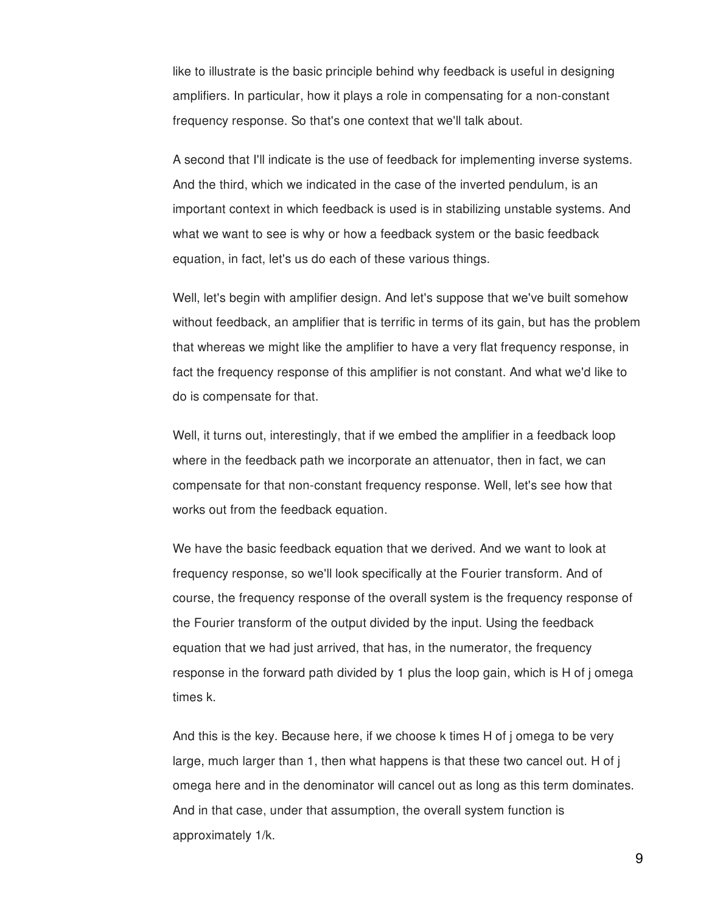like to illustrate is the basic principle behind why feedback is useful in designing amplifiers. In particular, how it plays a role in compensating for a non-constant frequency response. So that's one context that we'll talk about.

A second that I'll indicate is the use of feedback for implementing inverse systems. And the third, which we indicated in the case of the inverted pendulum, is an important context in which feedback is used is in stabilizing unstable systems. And what we want to see is why or how a feedback system or the basic feedback equation, in fact, let's us do each of these various things.

Well, let's begin with amplifier design. And let's suppose that we've built somehow without feedback, an amplifier that is terrific in terms of its gain, but has the problem that whereas we might like the amplifier to have a very flat frequency response, in fact the frequency response of this amplifier is not constant. And what we'd like to do is compensate for that.

Well, it turns out, interestingly, that if we embed the amplifier in a feedback loop where in the feedback path we incorporate an attenuator, then in fact, we can compensate for that non-constant frequency response. Well, let's see how that works out from the feedback equation.

We have the basic feedback equation that we derived. And we want to look at frequency response, so we'll look specifically at the Fourier transform. And of course, the frequency response of the overall system is the frequency response of the Fourier transform of the output divided by the input. Using the feedback equation that we had just arrived, that has, in the numerator, the frequency response in the forward path divided by 1 plus the loop gain, which is H of j omega times k.

And this is the key. Because here, if we choose k times H of j omega to be very large, much larger than 1, then what happens is that these two cancel out. H of j omega here and in the denominator will cancel out as long as this term dominates. And in that case, under that assumption, the overall system function is approximately 1/k.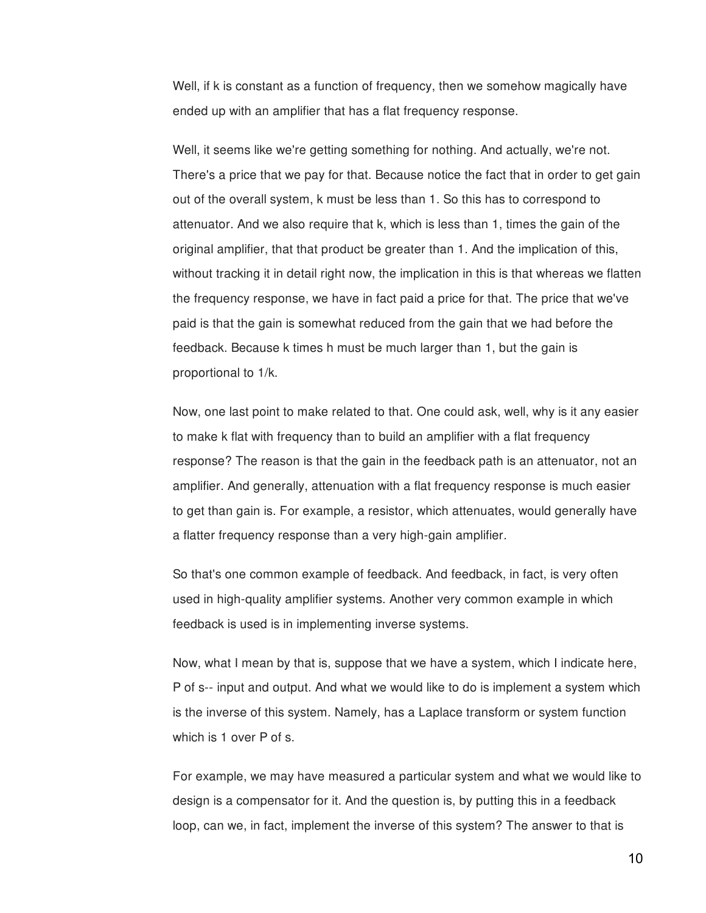Well, if k is constant as a function of frequency, then we somehow magically have ended up with an amplifier that has a flat frequency response.

Well, it seems like we're getting something for nothing. And actually, we're not. There's a price that we pay for that. Because notice the fact that in order to get gain out of the overall system, k must be less than 1. So this has to correspond to attenuator. And we also require that k, which is less than 1, times the gain of the original amplifier, that that product be greater than 1. And the implication of this, without tracking it in detail right now, the implication in this is that whereas we flatten the frequency response, we have in fact paid a price for that. The price that we've paid is that the gain is somewhat reduced from the gain that we had before the feedback. Because k times h must be much larger than 1, but the gain is proportional to 1/k.

Now, one last point to make related to that. One could ask, well, why is it any easier to make k flat with frequency than to build an amplifier with a flat frequency response? The reason is that the gain in the feedback path is an attenuator, not an amplifier. And generally, attenuation with a flat frequency response is much easier to get than gain is. For example, a resistor, which attenuates, would generally have a flatter frequency response than a very high-gain amplifier.

So that's one common example of feedback. And feedback, in fact, is very often used in high-quality amplifier systems. Another very common example in which feedback is used is in implementing inverse systems.

Now, what I mean by that is, suppose that we have a system, which I indicate here, P of s-- input and output. And what we would like to do is implement a system which is the inverse of this system. Namely, has a Laplace transform or system function which is 1 over P of s.

For example, we may have measured a particular system and what we would like to design is a compensator for it. And the question is, by putting this in a feedback loop, can we, in fact, implement the inverse of this system? The answer to that is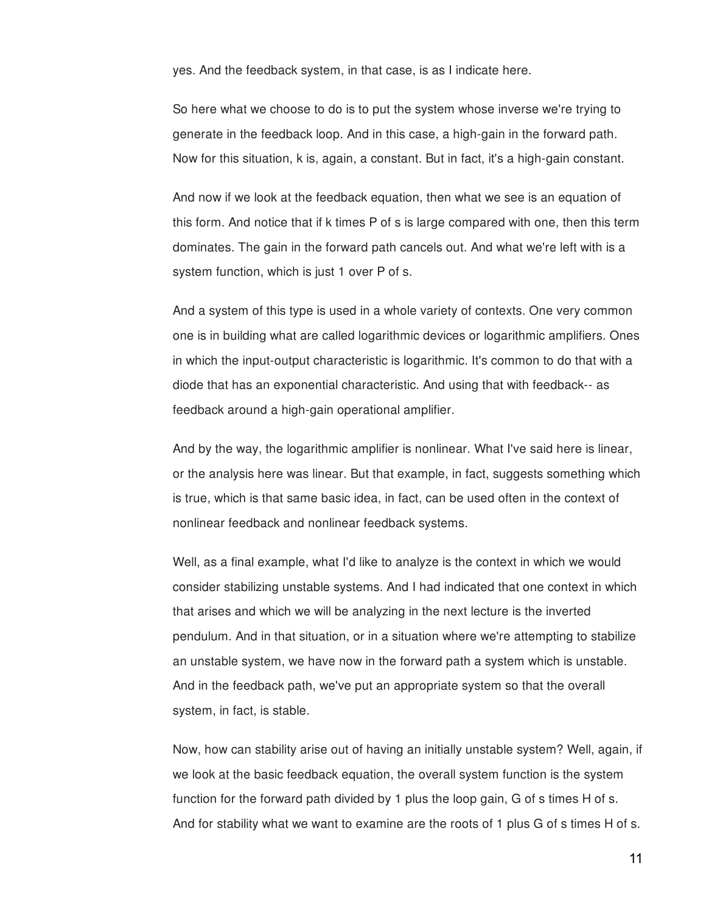yes. And the feedback system, in that case, is as I indicate here.

So here what we choose to do is to put the system whose inverse we're trying to generate in the feedback loop. And in this case, a high-gain in the forward path. Now for this situation, k is, again, a constant. But in fact, it's a high-gain constant.

And now if we look at the feedback equation, then what we see is an equation of this form. And notice that if k times P of s is large compared with one, then this term dominates. The gain in the forward path cancels out. And what we're left with is a system function, which is just 1 over P of s.

And a system of this type is used in a whole variety of contexts. One very common one is in building what are called logarithmic devices or logarithmic amplifiers. Ones in which the input-output characteristic is logarithmic. It's common to do that with a diode that has an exponential characteristic. And using that with feedback-- as feedback around a high-gain operational amplifier.

And by the way, the logarithmic amplifier is nonlinear. What I've said here is linear, or the analysis here was linear. But that example, in fact, suggests something which is true, which is that same basic idea, in fact, can be used often in the context of nonlinear feedback and nonlinear feedback systems.

Well, as a final example, what I'd like to analyze is the context in which we would consider stabilizing unstable systems. And I had indicated that one context in which that arises and which we will be analyzing in the next lecture is the inverted pendulum. And in that situation, or in a situation where we're attempting to stabilize an unstable system, we have now in the forward path a system which is unstable. And in the feedback path, we've put an appropriate system so that the overall system, in fact, is stable.

Now, how can stability arise out of having an initially unstable system? Well, again, if we look at the basic feedback equation, the overall system function is the system function for the forward path divided by 1 plus the loop gain, G of s times H of s. And for stability what we want to examine are the roots of 1 plus G of s times H of s.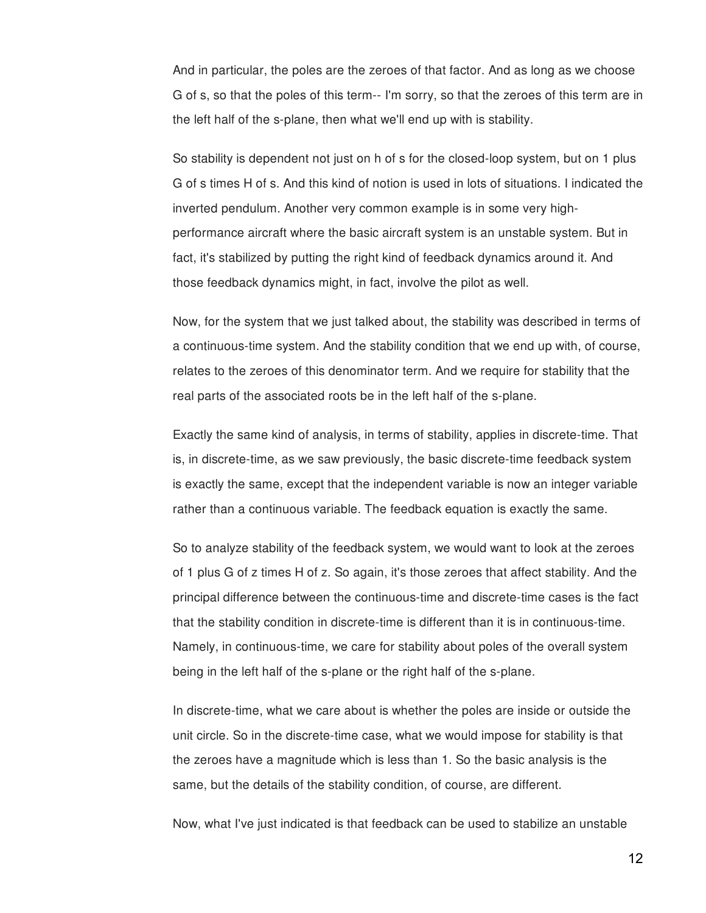And in particular, the poles are the zeroes of that factor. And as long as we choose G of s, so that the poles of this term-- I'm sorry, so that the zeroes of this term are in the left half of the s-plane, then what we'll end up with is stability.

So stability is dependent not just on h of s for the closed-loop system, but on 1 plus G of s times H of s. And this kind of notion is used in lots of situations. I indicated the inverted pendulum. Another very common example is in some very highperformance aircraft where the basic aircraft system is an unstable system. But in fact, it's stabilized by putting the right kind of feedback dynamics around it. And those feedback dynamics might, in fact, involve the pilot as well.

Now, for the system that we just talked about, the stability was described in terms of a continuous-time system. And the stability condition that we end up with, of course, relates to the zeroes of this denominator term. And we require for stability that the real parts of the associated roots be in the left half of the s-plane.

Exactly the same kind of analysis, in terms of stability, applies in discrete-time. That is, in discrete-time, as we saw previously, the basic discrete-time feedback system is exactly the same, except that the independent variable is now an integer variable rather than a continuous variable. The feedback equation is exactly the same.

So to analyze stability of the feedback system, we would want to look at the zeroes of 1 plus G of z times H of z. So again, it's those zeroes that affect stability. And the principal difference between the continuous-time and discrete-time cases is the fact that the stability condition in discrete-time is different than it is in continuous-time. Namely, in continuous-time, we care for stability about poles of the overall system being in the left half of the s-plane or the right half of the s-plane.

In discrete-time, what we care about is whether the poles are inside or outside the unit circle. So in the discrete-time case, what we would impose for stability is that the zeroes have a magnitude which is less than 1. So the basic analysis is the same, but the details of the stability condition, of course, are different.

Now, what I've just indicated is that feedback can be used to stabilize an unstable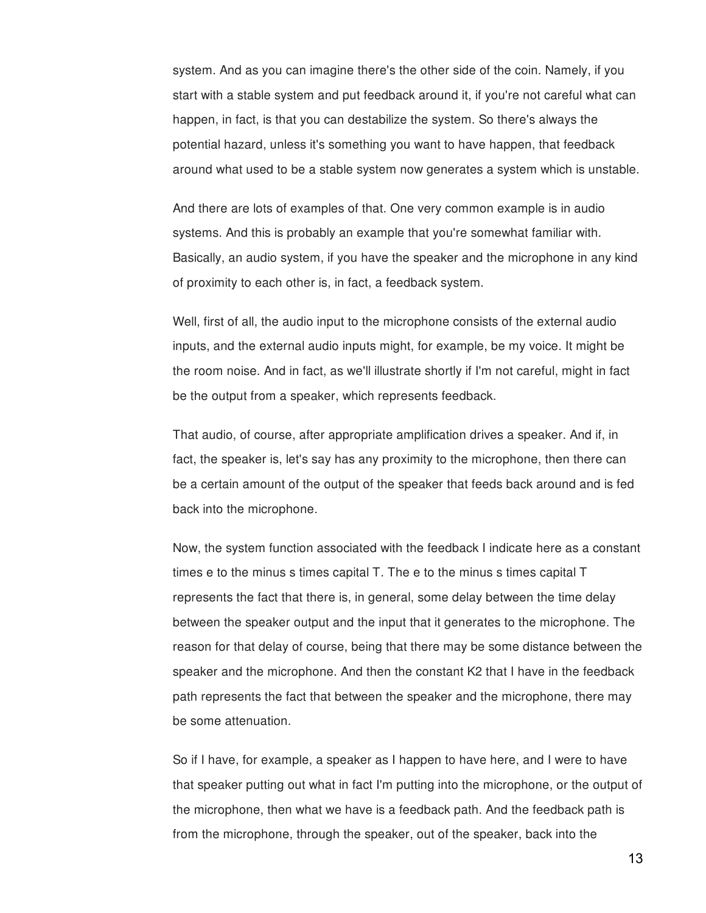system. And as you can imagine there's the other side of the coin. Namely, if you start with a stable system and put feedback around it, if you're not careful what can happen, in fact, is that you can destabilize the system. So there's always the potential hazard, unless it's something you want to have happen, that feedback around what used to be a stable system now generates a system which is unstable.

And there are lots of examples of that. One very common example is in audio systems. And this is probably an example that you're somewhat familiar with. Basically, an audio system, if you have the speaker and the microphone in any kind of proximity to each other is, in fact, a feedback system.

Well, first of all, the audio input to the microphone consists of the external audio inputs, and the external audio inputs might, for example, be my voice. It might be the room noise. And in fact, as we'll illustrate shortly if I'm not careful, might in fact be the output from a speaker, which represents feedback.

That audio, of course, after appropriate amplification drives a speaker. And if, in fact, the speaker is, let's say has any proximity to the microphone, then there can be a certain amount of the output of the speaker that feeds back around and is fed back into the microphone.

Now, the system function associated with the feedback I indicate here as a constant times e to the minus s times capital T. The e to the minus s times capital T represents the fact that there is, in general, some delay between the time delay between the speaker output and the input that it generates to the microphone. The reason for that delay of course, being that there may be some distance between the speaker and the microphone. And then the constant K2 that I have in the feedback path represents the fact that between the speaker and the microphone, there may be some attenuation.

So if I have, for example, a speaker as I happen to have here, and I were to have that speaker putting out what in fact I'm putting into the microphone, or the output of the microphone, then what we have is a feedback path. And the feedback path is from the microphone, through the speaker, out of the speaker, back into the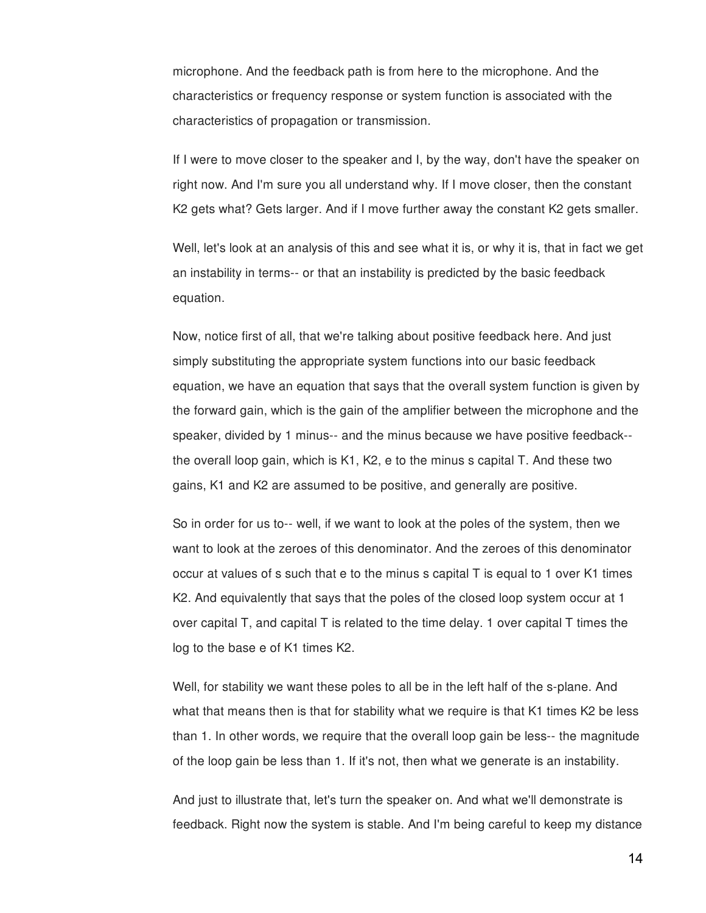microphone. And the feedback path is from here to the microphone. And the characteristics or frequency response or system function is associated with the characteristics of propagation or transmission.

If I were to move closer to the speaker and I, by the way, don't have the speaker on right now. And I'm sure you all understand why. If I move closer, then the constant K2 gets what? Gets larger. And if I move further away the constant K2 gets smaller.

Well, let's look at an analysis of this and see what it is, or why it is, that in fact we get an instability in terms-- or that an instability is predicted by the basic feedback equation.

Now, notice first of all, that we're talking about positive feedback here. And just simply substituting the appropriate system functions into our basic feedback equation, we have an equation that says that the overall system function is given by the forward gain, which is the gain of the amplifier between the microphone and the speaker, divided by 1 minus-- and the minus because we have positive feedback- the overall loop gain, which is K1, K2, e to the minus s capital T. And these two gains, K1 and K2 are assumed to be positive, and generally are positive.

So in order for us to-- well, if we want to look at the poles of the system, then we want to look at the zeroes of this denominator. And the zeroes of this denominator occur at values of s such that e to the minus s capital T is equal to 1 over K1 times K2. And equivalently that says that the poles of the closed loop system occur at 1 over capital T, and capital T is related to the time delay. 1 over capital T times the log to the base e of K1 times K2.

Well, for stability we want these poles to all be in the left half of the s-plane. And what that means then is that for stability what we require is that K1 times K2 be less than 1. In other words, we require that the overall loop gain be less-- the magnitude of the loop gain be less than 1. If it's not, then what we generate is an instability.

And just to illustrate that, let's turn the speaker on. And what we'll demonstrate is feedback. Right now the system is stable. And I'm being careful to keep my distance